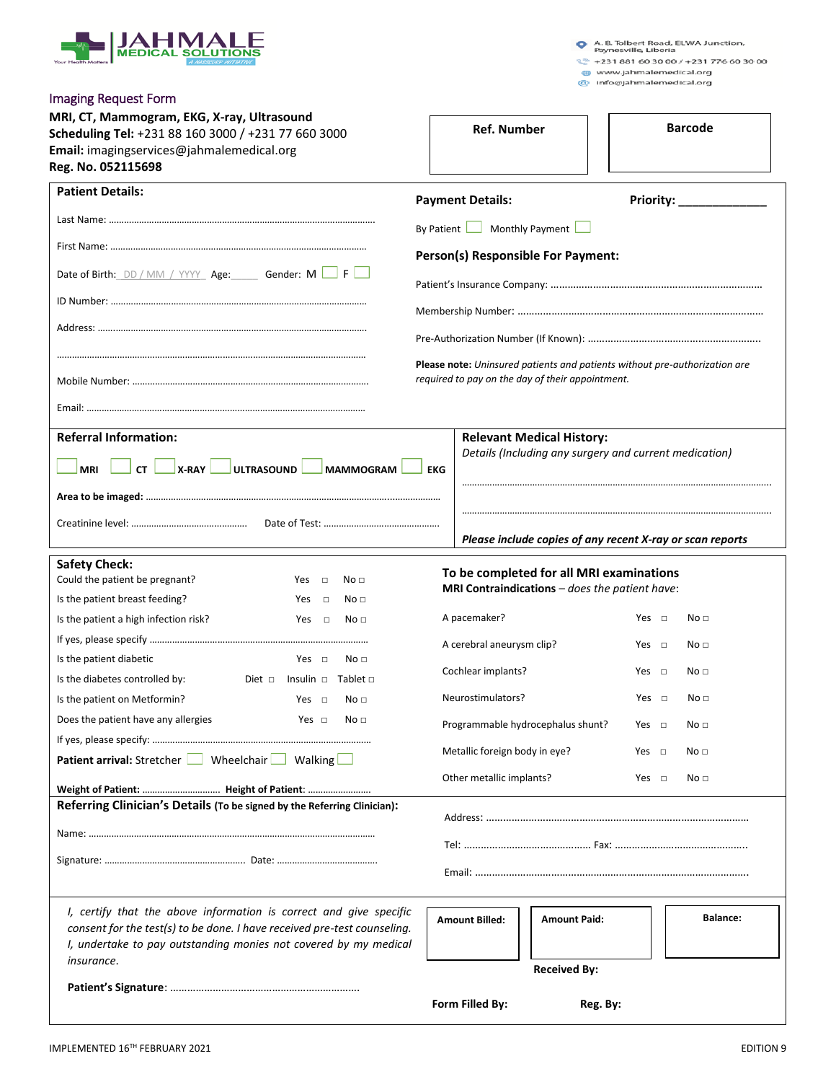

A. B. Tolbert Road, ELWA Junction,<br>Paynesville, Liberia

 $22 + 231881603000 / +231776603000$ 

www.jahmalemedical.org<br>
a info@jahmalemedical.org

| MRI, CT, Mammogram, EKG, X-ray, Ultrasound<br>Scheduling Tel: +231 88 160 3000 / +231 77 660 3000<br>Email: imagingservices@jahmalemedical.org<br>Reg. No. 052115698                                                             |                                    | <b>Ref. Number</b>                                                                                            |            | <b>Barcode</b>                   |  |
|----------------------------------------------------------------------------------------------------------------------------------------------------------------------------------------------------------------------------------|------------------------------------|---------------------------------------------------------------------------------------------------------------|------------|----------------------------------|--|
| <b>Patient Details:</b>                                                                                                                                                                                                          |                                    | <b>Payment Details:</b><br>Monthly Payment L<br>By Patient                                                    |            | Priority: <u>_______________</u> |  |
|                                                                                                                                                                                                                                  |                                    |                                                                                                               |            |                                  |  |
|                                                                                                                                                                                                                                  |                                    | Person(s) Responsible For Payment:                                                                            |            |                                  |  |
| Date of Birth: DD / MM / YYYY Age: Gender: M F                                                                                                                                                                                   |                                    |                                                                                                               |            |                                  |  |
|                                                                                                                                                                                                                                  |                                    |                                                                                                               |            |                                  |  |
|                                                                                                                                                                                                                                  |                                    |                                                                                                               |            |                                  |  |
|                                                                                                                                                                                                                                  |                                    | Please note: Uninsured patients and patients without pre-authorization are                                    |            |                                  |  |
|                                                                                                                                                                                                                                  |                                    | required to pay on the day of their appointment.                                                              |            |                                  |  |
|                                                                                                                                                                                                                                  |                                    |                                                                                                               |            |                                  |  |
| <b>Referral Information:</b>                                                                                                                                                                                                     | <b>Relevant Medical History:</b>   |                                                                                                               |            |                                  |  |
| $\Box$ x-RAY<br>ULTRASOUND<br>cr<br><b>MRI</b>                                                                                                                                                                                   | <b>MAMMOGRAM</b><br><b>EKG</b>     | Details (Including any surgery and current medication)                                                        |            |                                  |  |
|                                                                                                                                                                                                                                  |                                    |                                                                                                               |            |                                  |  |
|                                                                                                                                                                                                                                  |                                    | Please include copies of any recent X-ray or scan reports                                                     |            |                                  |  |
| <b>Safety Check:</b><br>Could the patient be pregnant?<br>Yes $\Box$                                                                                                                                                             | No <sub>1</sub>                    | To be completed for all MRI examinations<br><b>MRI Contraindications</b> $-\textit{does}$ the patient have:   |            |                                  |  |
| Is the patient breast feeding?<br>$\Box$<br>Yes<br>Is the patient a high infection risk?<br>Yes $\Box$                                                                                                                           | No <sub>1</sub><br>No <sub>1</sub> | A pacemaker?                                                                                                  | Yes $\Box$ | No <sub>1</sub>                  |  |
|                                                                                                                                                                                                                                  |                                    | A cerebral aneurysm clip?                                                                                     | Yes $\Box$ | No <sub>1</sub>                  |  |
| Is the patient diabetic<br>Yes $\Box$                                                                                                                                                                                            | No <sub>1</sub>                    | Cochlear implants?<br>Neurostimulators?<br>Programmable hydrocephalus shunt?<br>Metallic foreign body in eye? |            |                                  |  |
| Is the diabetes controlled by:<br>Diet $\Box$<br>Insulin $\Box$ Tablet $\Box$                                                                                                                                                    |                                    |                                                                                                               |            | Yes $\Box$<br>No <sub>1</sub>    |  |
| Is the patient on Metformin?<br>Yes $\Box$                                                                                                                                                                                       | No <sub>1</sub>                    |                                                                                                               |            | Yes $\Box$<br>No <sub>1</sub>    |  |
| Does the patient have any allergies<br>Yes $\Box$                                                                                                                                                                                | No <sub>1</sub>                    |                                                                                                               |            | Yes $\Box$<br>No <sub>1</sub>    |  |
|                                                                                                                                                                                                                                  |                                    |                                                                                                               |            | Yes $\Box$<br>No <sub>1</sub>    |  |
| <b>Patient arrival:</b> Stretcher Wheelchair Walking<br>Weight of Patient:  Height of Patient:                                                                                                                                   |                                    | Other metallic implants?                                                                                      |            | No <sub>1</sub><br>Yes $\Box$    |  |
| Referring Clinician's Details (To be signed by the Referring Clinician):                                                                                                                                                         |                                    |                                                                                                               |            |                                  |  |
|                                                                                                                                                                                                                                  |                                    |                                                                                                               |            |                                  |  |
|                                                                                                                                                                                                                                  |                                    |                                                                                                               |            |                                  |  |
| I, certify that the above information is correct and give specific<br>consent for the test(s) to be done. I have received pre-test counseling.<br>I, undertake to pay outstanding monies not covered by my medical<br>insurance. |                                    | <b>Amount Paid:</b><br><b>Amount Billed:</b>                                                                  |            | <b>Balance:</b>                  |  |
|                                                                                                                                                                                                                                  |                                    | <b>Received By:</b><br>Form Filled By:                                                                        | Reg. By:   |                                  |  |